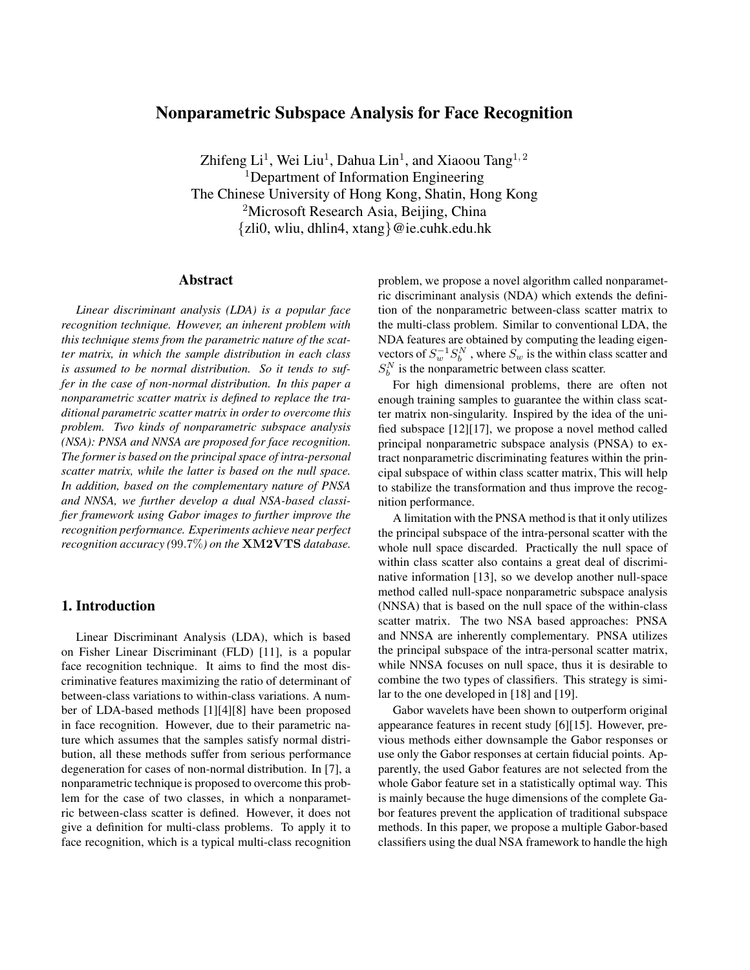# **Nonparametric Subspace Analysis for Face Recognition**

Zhifeng Li<sup>1</sup>, Wei Liu<sup>1</sup>, Dahua Lin<sup>1</sup>, and Xiaoou Tang<sup>1,2</sup> <sup>1</sup>Department of Information Engineering The Chinese University of Hong Kong, Shatin, Hong Kong <sup>2</sup>Microsoft Research Asia, Beijing, China {zli0, wliu, dhlin4, xtang}@ie.cuhk.edu.hk

### **Abstract**

*Linear discriminant analysis (LDA) is a popular face recognition technique. However, an inherent problem with this technique stems from the parametric nature of the scatter matrix, in which the sample distribution in each class is assumed to be normal distribution. So it tends to suffer in the case of non-normal distribution. In this paper a nonparametric scatter matrix is defined to replace the traditional parametric scatter matrix in order to overcome this problem. Two kinds of nonparametric subspace analysis (NSA): PNSA and NNSA are proposed for face recognition. The former is based on the principal space of intra-personal scatter matrix, while the latter is based on the null space. In addition, based on the complementary nature of PNSA and NNSA, we further develop a dual NSA-based classifier framework using Gabor images to further improve the recognition performance. Experiments achieve near perfect recognition accuracy (*99.7%*) on the* **XM2VTS** *database.*

## **1. Introduction**

Linear Discriminant Analysis (LDA), which is based on Fisher Linear Discriminant (FLD) [11], is a popular face recognition technique. It aims to find the most discriminative features maximizing the ratio of determinant of between-class variations to within-class variations. A number of LDA-based methods [1][4][8] have been proposed in face recognition. However, due to their parametric nature which assumes that the samples satisfy normal distribution, all these methods suffer from serious performance degeneration for cases of non-normal distribution. In [7], a nonparametric technique is proposed to overcome this problem for the case of two classes, in which a nonparametric between-class scatter is defined. However, it does not give a definition for multi-class problems. To apply it to face recognition, which is a typical multi-class recognition

problem, we propose a novel algorithm called nonparametric discriminant analysis (NDA) which extends the definition of the nonparametric between-class scatter matrix to the multi-class problem. Similar to conventional LDA, the NDA features are obtained by computing the leading eigenvectors of  $S_w^{-1}S_b^N$ , where  $S_w$  is the within class scatter and  $S_h^N$  is the nonparametric between class scatter.

For high dimensional problems, there are often not enough training samples to guarantee the within class scatter matrix non-singularity. Inspired by the idea of the unified subspace [12][17], we propose a novel method called principal nonparametric subspace analysis (PNSA) to extract nonparametric discriminating features within the principal subspace of within class scatter matrix, This will help to stabilize the transformation and thus improve the recognition performance.

A limitation with the PNSA method is that it only utilizes the principal subspace of the intra-personal scatter with the whole null space discarded. Practically the null space of within class scatter also contains a great deal of discriminative information [13], so we develop another null-space method called null-space nonparametric subspace analysis (NNSA) that is based on the null space of the within-class scatter matrix. The two NSA based approaches: PNSA and NNSA are inherently complementary. PNSA utilizes the principal subspace of the intra-personal scatter matrix, while NNSA focuses on null space, thus it is desirable to combine the two types of classifiers. This strategy is similar to the one developed in [18] and [19].

Gabor wavelets have been shown to outperform original appearance features in recent study [6][15]. However, previous methods either downsample the Gabor responses or use only the Gabor responses at certain fiducial points. Apparently, the used Gabor features are not selected from the whole Gabor feature set in a statistically optimal way. This is mainly because the huge dimensions of the complete Gabor features prevent the application of traditional subspace methods. In this paper, we propose a multiple Gabor-based classifiers using the dual NSA framework to handle the high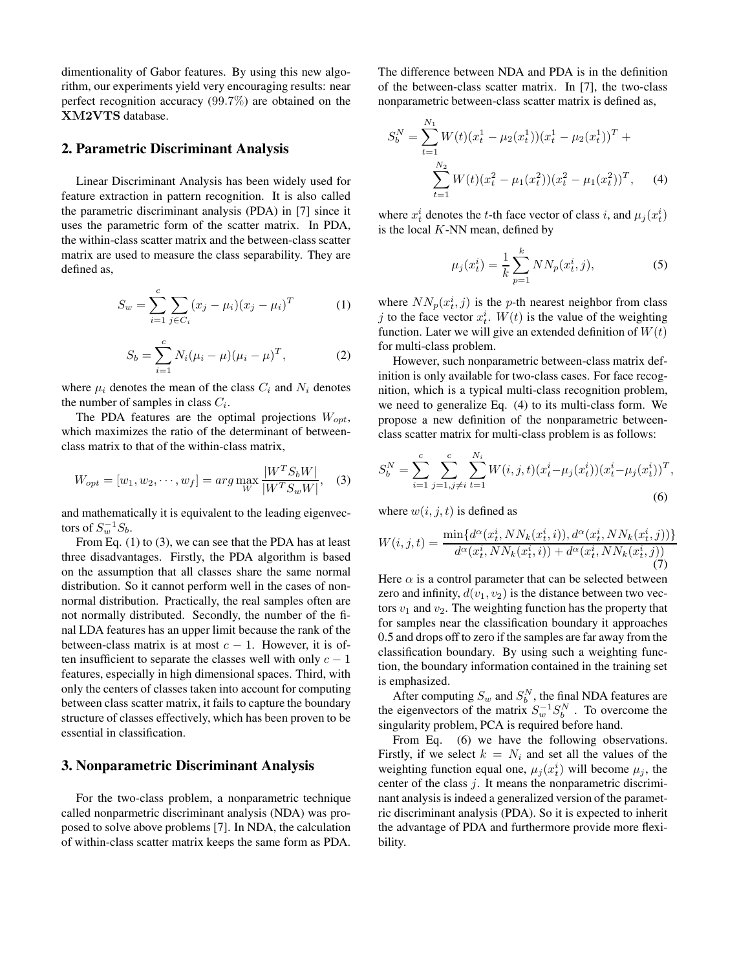dimentionality of Gabor features. By using this new algorithm, our experiments yield very encouraging results: near perfect recognition accuracy (99.7%) are obtained on the **XM2VTS** database.

### **2. Parametric Discriminant Analysis**

Linear Discriminant Analysis has been widely used for feature extraction in pattern recognition. It is also called the parametric discriminant analysis (PDA) in [7] since it uses the parametric form of the scatter matrix. In PDA, the within-class scatter matrix and the between-class scatter matrix are used to measure the class separability. They are defined as,

$$
S_w = \sum_{i=1}^{c} \sum_{j \in C_i} (x_j - \mu_i)(x_j - \mu_i)^T
$$
 (1)

$$
S_b = \sum_{i=1}^{c} N_i (\mu_i - \mu) (\mu_i - \mu)^T,
$$
 (2)

where  $\mu_i$  denotes the mean of the class  $C_i$  and  $N_i$  denotes the number of samples in class  $C_i$ .

The PDA features are the optimal projections  $W_{opt}$ , which maximizes the ratio of the determinant of betweenclass matrix to that of the within-class matrix,

$$
W_{opt} = [w_1, w_2, \cdots, w_f] = \arg \max_W \frac{|W^T S_b W|}{|W^T S_w W|}, \quad (3)
$$

and mathematically it is equivalent to the leading eigenvectors of  $S_w^{-1}S_b$ .

From Eq. (1) to (3), we can see that the PDA has at least three disadvantages. Firstly, the PDA algorithm is based on the assumption that all classes share the same normal distribution. So it cannot perform well in the cases of nonnormal distribution. Practically, the real samples often are not normally distributed. Secondly, the number of the final LDA features has an upper limit because the rank of the between-class matrix is at most  $c - 1$ . However, it is often insufficient to separate the classes well with only  $c - 1$ features, especially in high dimensional spaces. Third, with only the centers of classes taken into account for computing between class scatter matrix, it fails to capture the boundary structure of classes effectively, which has been proven to be essential in classification.

### **3. Nonparametric Discriminant Analysis**

For the two-class problem, a nonparametric technique called nonparmetric discriminant analysis (NDA) was proposed to solve above problems [7]. In NDA, the calculation of within-class scatter matrix keeps the same form as PDA.

The difference between NDA and PDA is in the definition of the between-class scatter matrix. In [7], the two-class nonparametric between-class scatter matrix is defined as,

$$
S_b^N = \sum_{t=1}^{N_1} W(t)(x_t^1 - \mu_2(x_t^1))(x_t^1 - \mu_2(x_t^1))^T + \sum_{t=1}^{N_2} W(t)(x_t^2 - \mu_1(x_t^2))(x_t^2 - \mu_1(x_t^2))^T, \quad (4)
$$

where  $x_t^i$  denotes the t-th face vector of class i, and  $\mu_i(x_t^i)$ is the local  $K$ -NN mean, defined by

$$
\mu_j(x_t^i) = \frac{1}{k} \sum_{p=1}^k NN_p(x_t^i, j),\tag{5}
$$

where  $NN_p(x_i^i, j)$  is the p-th nearest neighbor from class j to the face vector  $x_t^i$ .  $W(t)$  is the value of the weighting function. Later we will give an extended definition of  $W(t)$ for multi-class problem.

However, such nonparametric between-class matrix definition is only available for two-class cases. For face recognition, which is a typical multi-class recognition problem, we need to generalize Eq. (4) to its multi-class form. We propose a new definition of the nonparametric betweenclass scatter matrix for multi-class problem is as follows:

$$
S_b^N = \sum_{i=1}^c \sum_{j=1, j \neq i}^c \sum_{t=1}^{N_i} W(i, j, t) (x_t^i - \mu_j(x_t^i)) (x_t^i - \mu_j(x_t^i))^T,
$$
\n
$$
(6)
$$

where  $w(i, j, t)$  is defined as

$$
W(i,j,t) = \frac{\min\{d^{\alpha}(x_t^i, NN_k(x_t^i, i)), d^{\alpha}(x_t^i, NN_k(x_t^i, j))\}}{d^{\alpha}(x_t^i, NN_k(x_t^i, i)) + d^{\alpha}(x_t^i, NN_k(x_t^i, j))}
$$
(7)

Here  $\alpha$  is a control parameter that can be selected between zero and infinity,  $d(v_1, v_2)$  is the distance between two vectors  $v_1$  and  $v_2$ . The weighting function has the property that for samples near the classification boundary it approaches 0.5 and drops off to zero if the samples are far away from the classification boundary. By using such a weighting function, the boundary information contained in the training set is emphasized.

After computing  $S_w$  and  $S_b^N$ , the final NDA features are the eigenvectors of the matrix  $S_w^{-1}S_b^N$ . To overcome the singularity problem, PCA is required before hand.

From Eq.  $(6)$  we have the following observations. Firstly, if we select  $k = N_i$  and set all the values of the weighting function equal one,  $\mu_j(x_t^i)$  will become  $\mu_j$ , the center of the class j. It means the nonparametric discriminant analysis is indeed a generalized version of the parametric discriminant analysis (PDA). So it is expected to inherit the advantage of PDA and furthermore provide more flexibility.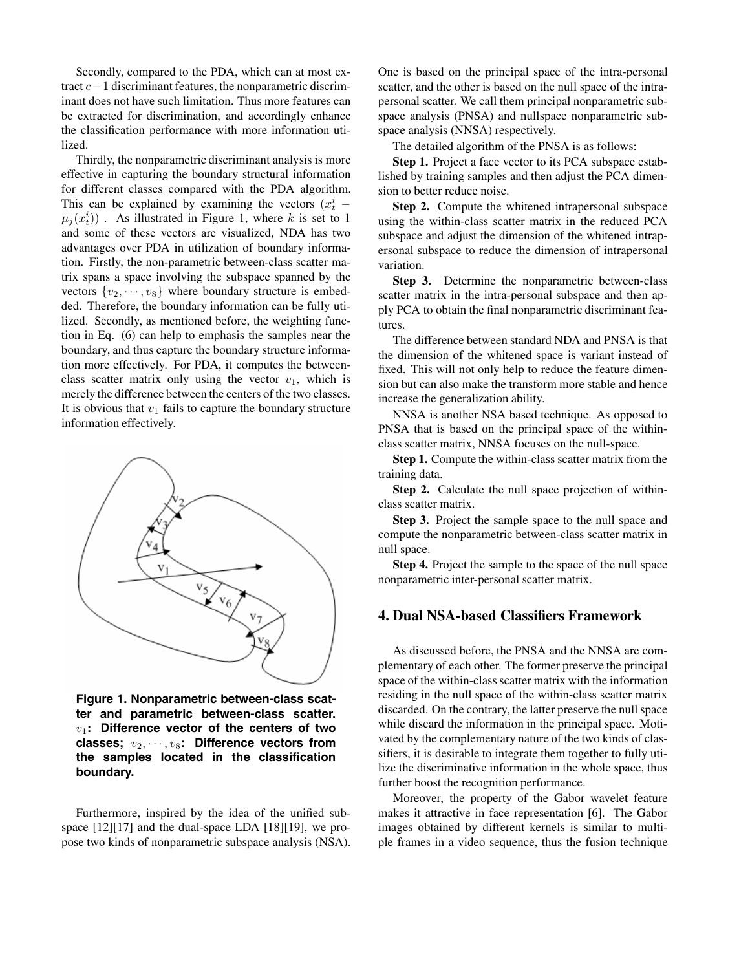Secondly, compared to the PDA, which can at most extract c−1 discriminant features, the nonparametric discriminant does not have such limitation. Thus more features can be extracted for discrimination, and accordingly enhance the classification performance with more information utilized.

Thirdly, the nonparametric discriminant analysis is more effective in capturing the boundary structural information for different classes compared with the PDA algorithm. This can be explained by examining the vectors  $(x_t^i \mu_j(x_t^i)$ . As illustrated in Figure 1, where k is set to 1 and some of these vectors are visualized, NDA has two advantages over PDA in utilization of boundary information. Firstly, the non-parametric between-class scatter matrix spans a space involving the subspace spanned by the vectors  $\{v_2, \dots, v_8\}$  where boundary structure is embedded. Therefore, the boundary information can be fully utilized. Secondly, as mentioned before, the weighting function in Eq. (6) can help to emphasis the samples near the boundary, and thus capture the boundary structure information more effectively. For PDA, it computes the betweenclass scatter matrix only using the vector  $v_1$ , which is merely the difference between the centers of the two classes. It is obvious that  $v_1$  fails to capture the boundary structure information effectively.



**Figure 1. Nonparametric between-class scatter and parametric between-class scatter.** v1**: Difference vector of the centers of two** classes;  $v_2, \dots, v_8$ : Difference vectors from **the samples located in the classification boundary.**

Furthermore, inspired by the idea of the unified subspace [12][17] and the dual-space LDA [18][19], we propose two kinds of nonparametric subspace analysis (NSA). One is based on the principal space of the intra-personal scatter, and the other is based on the null space of the intrapersonal scatter. We call them principal nonparametric subspace analysis (PNSA) and nullspace nonparametric subspace analysis (NNSA) respectively.

The detailed algorithm of the PNSA is as follows:

**Step 1.** Project a face vector to its PCA subspace established by training samples and then adjust the PCA dimension to better reduce noise.

**Step 2.** Compute the whitened intrapersonal subspace using the within-class scatter matrix in the reduced PCA subspace and adjust the dimension of the whitened intrapersonal subspace to reduce the dimension of intrapersonal variation.

**Step 3.** Determine the nonparametric between-class scatter matrix in the intra-personal subspace and then apply PCA to obtain the final nonparametric discriminant features.

The difference between standard NDA and PNSA is that the dimension of the whitened space is variant instead of fixed. This will not only help to reduce the feature dimension but can also make the transform more stable and hence increase the generalization ability.

NNSA is another NSA based technique. As opposed to PNSA that is based on the principal space of the withinclass scatter matrix, NNSA focuses on the null-space.

**Step 1.** Compute the within-class scatter matrix from the training data.

**Step 2.** Calculate the null space projection of withinclass scatter matrix.

**Step 3.** Project the sample space to the null space and compute the nonparametric between-class scatter matrix in null space.

**Step 4.** Project the sample to the space of the null space nonparametric inter-personal scatter matrix.

## **4. Dual NSA-based Classifiers Framework**

As discussed before, the PNSA and the NNSA are complementary of each other. The former preserve the principal space of the within-class scatter matrix with the information residing in the null space of the within-class scatter matrix discarded. On the contrary, the latter preserve the null space while discard the information in the principal space. Motivated by the complementary nature of the two kinds of classifiers, it is desirable to integrate them together to fully utilize the discriminative information in the whole space, thus further boost the recognition performance.

Moreover, the property of the Gabor wavelet feature makes it attractive in face representation [6]. The Gabor images obtained by different kernels is similar to multiple frames in a video sequence, thus the fusion technique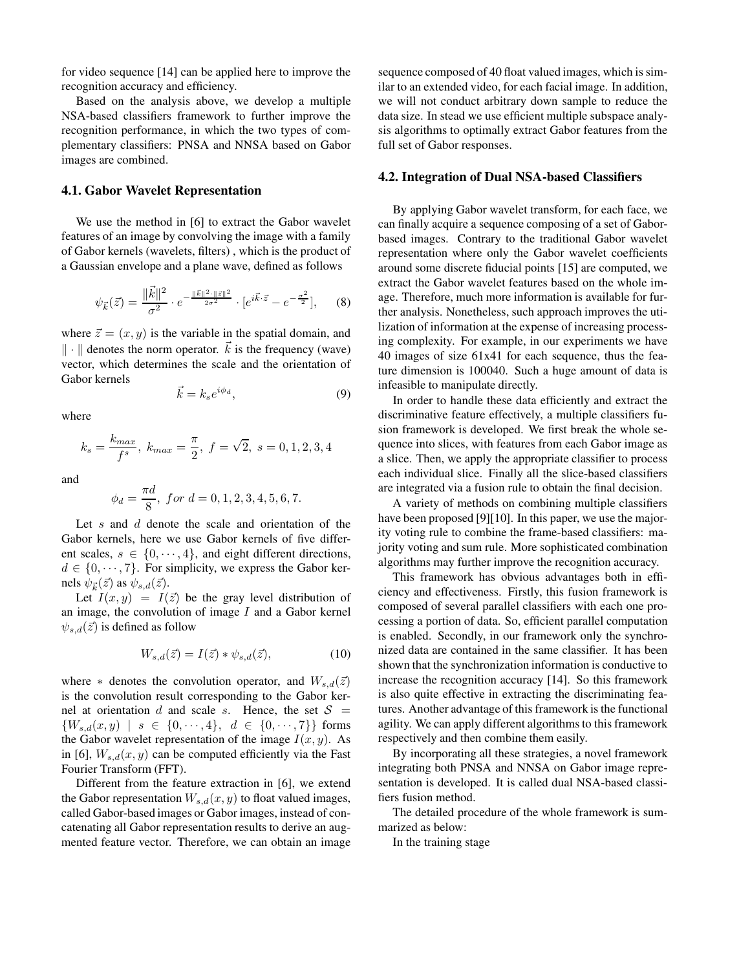for video sequence [14] can be applied here to improve the recognition accuracy and efficiency.

Based on the analysis above, we develop a multiple NSA-based classifiers framework to further improve the recognition performance, in which the two types of complementary classifiers: PNSA and NNSA based on Gabor images are combined.

#### **4.1. Gabor Wavelet Representation**

We use the method in [6] to extract the Gabor wavelet features of an image by convolving the image with a family of Gabor kernels (wavelets, filters) , which is the product of a Gaussian envelope and a plane wave, defined as follows

$$
\psi_{\vec{k}}(\vec{z}) = \frac{\|\vec{k}\|^2}{\sigma^2} \cdot e^{-\frac{\|\vec{k}\|^2 \cdot \|\vec{z}\|^2}{2\sigma^2}} \cdot [e^{i\vec{k}\cdot\vec{z}} - e^{-\frac{\sigma^2}{2}}],\qquad(8)
$$

where  $\vec{z} = (x, y)$  is the variable in the spatial domain, and  $\|\cdot\|$  denotes the norm operator.  $\vec{k}$  is the frequency (wave) vector, which determines the scale and the orientation of Gabor kernels

$$
\vec{k} = k_s e^{i\phi_d},\tag{9}
$$

where

$$
k_s = \frac{k_{max}}{f^s}, \ k_{max} = \frac{\pi}{2}, \ f = \sqrt{2}, \ s = 0, 1, 2, 3, 4
$$

and

$$
\phi_d = \frac{\pi d}{8}, \text{ for } d = 0, 1, 2, 3, 4, 5, 6, 7.
$$

Let  $s$  and  $d$  denote the scale and orientation of the Gabor kernels, here we use Gabor kernels of five different scales,  $s \in \{0, \dots, 4\}$ , and eight different directions,  $d \in \{0, \dots, 7\}$ . For simplicity, we express the Gabor kernels  $\psi_{\vec{k}}(\vec{z})$  as  $\psi_{s,d}(\vec{z})$ .

Let  $I(x, y) = I(\vec{z})$  be the gray level distribution of an image, the convolution of image  $I$  and a Gabor kernel  $\psi_{s,d}(\vec{z})$  is defined as follow

$$
W_{s,d}(\vec{z}) = I(\vec{z}) * \psi_{s,d}(\vec{z}), \qquad (10)
$$

where  $*$  denotes the convolution operator, and  $W_{s,d}(\vec{z})$ is the convolution result corresponding to the Gabor kernel at orientation d and scale s. Hence, the set  $S =$  $\{W_{s,d}(x,y) \mid s \in \{0,\dots,4\}, d \in \{0,\dots,7\}\}\$  forms the Gabor wavelet representation of the image  $I(x, y)$ . As in [6],  $W_{s,d}(x, y)$  can be computed efficiently via the Fast Fourier Transform (FFT).

Different from the feature extraction in [6], we extend the Gabor representation  $W_{s,d}(x, y)$  to float valued images, called Gabor-based images or Gabor images, instead of concatenating all Gabor representation results to derive an augmented feature vector. Therefore, we can obtain an image

sequence composed of 40 float valued images, which is similar to an extended video, for each facial image. In addition, we will not conduct arbitrary down sample to reduce the data size. In stead we use efficient multiple subspace analysis algorithms to optimally extract Gabor features from the full set of Gabor responses.

#### **4.2. Integration of Dual NSA-based Classifiers**

By applying Gabor wavelet transform, for each face, we can finally acquire a sequence composing of a set of Gaborbased images. Contrary to the traditional Gabor wavelet representation where only the Gabor wavelet coefficients around some discrete fiducial points [15] are computed, we extract the Gabor wavelet features based on the whole image. Therefore, much more information is available for further analysis. Nonetheless, such approach improves the utilization of information at the expense of increasing processing complexity. For example, in our experiments we have 40 images of size 61x41 for each sequence, thus the feature dimension is 100040. Such a huge amount of data is infeasible to manipulate directly.

In order to handle these data efficiently and extract the discriminative feature effectively, a multiple classifiers fusion framework is developed. We first break the whole sequence into slices, with features from each Gabor image as a slice. Then, we apply the appropriate classifier to process each individual slice. Finally all the slice-based classifiers are integrated via a fusion rule to obtain the final decision.

A variety of methods on combining multiple classifiers have been proposed [9][10]. In this paper, we use the majority voting rule to combine the frame-based classifiers: majority voting and sum rule. More sophisticated combination algorithms may further improve the recognition accuracy.

This framework has obvious advantages both in efficiency and effectiveness. Firstly, this fusion framework is composed of several parallel classifiers with each one processing a portion of data. So, efficient parallel computation is enabled. Secondly, in our framework only the synchronized data are contained in the same classifier. It has been shown that the synchronization information is conductive to increase the recognition accuracy [14]. So this framework is also quite effective in extracting the discriminating features. Another advantage of this framework is the functional agility. We can apply different algorithms to this framework respectively and then combine them easily.

By incorporating all these strategies, a novel framework integrating both PNSA and NNSA on Gabor image representation is developed. It is called dual NSA-based classifiers fusion method.

The detailed procedure of the whole framework is summarized as below:

In the training stage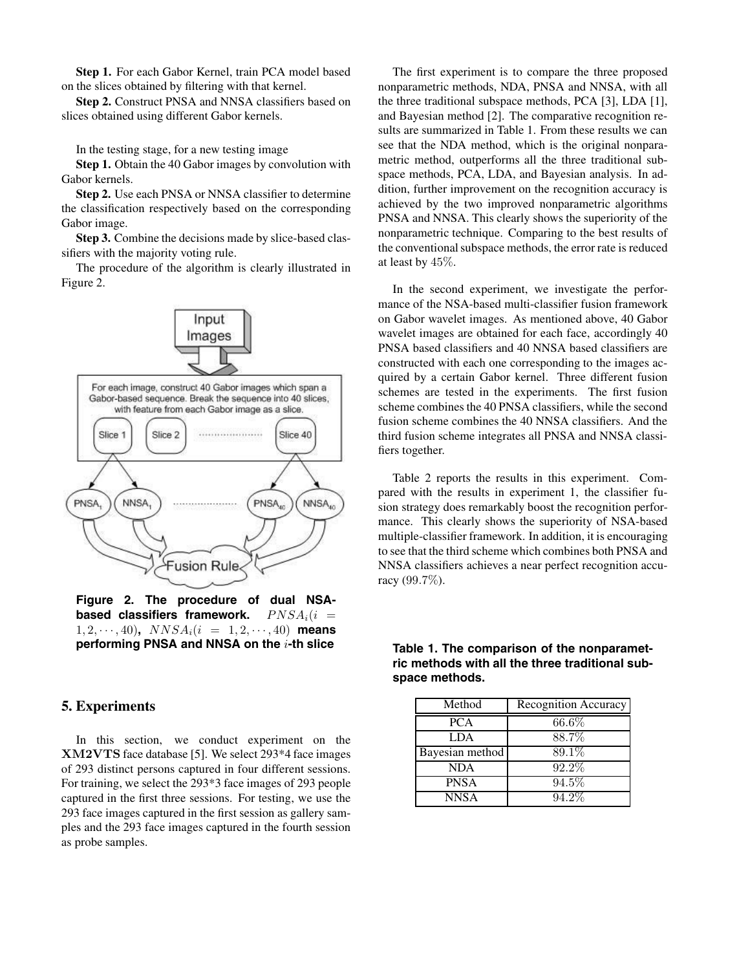**Step 1.** For each Gabor Kernel, train PCA model based on the slices obtained by filtering with that kernel.

**Step 2.** Construct PNSA and NNSA classifiers based on slices obtained using different Gabor kernels.

In the testing stage, for a new testing image

**Step 1.** Obtain the 40 Gabor images by convolution with Gabor kernels.

**Step 2.** Use each PNSA or NNSA classifier to determine the classification respectively based on the corresponding Gabor image.

**Step 3.** Combine the decisions made by slice-based classifiers with the majority voting rule.

The procedure of the algorithm is clearly illustrated in Figure 2.



**Figure 2. The procedure of dual NSAbased classifiers framework.**  $PNSA_i(i =$  $1, 2, \dots, 40$ ,  $NNSA_i(i = 1, 2, \dots, 40)$  means **performing PNSA and NNSA on the** i**-th slice**

## **5. Experiments**

In this section, we conduct experiment on the **XM2VTS** face database [5]. We select 293\*4 face images of 293 distinct persons captured in four different sessions. For training, we select the 293\*3 face images of 293 people captured in the first three sessions. For testing, we use the 293 face images captured in the first session as gallery samples and the 293 face images captured in the fourth session as probe samples.

The first experiment is to compare the three proposed nonparametric methods, NDA, PNSA and NNSA, with all the three traditional subspace methods, PCA [3], LDA [1], and Bayesian method [2]. The comparative recognition results are summarized in Table 1. From these results we can see that the NDA method, which is the original nonparametric method, outperforms all the three traditional subspace methods, PCA, LDA, and Bayesian analysis. In addition, further improvement on the recognition accuracy is achieved by the two improved nonparametric algorithms PNSA and NNSA. This clearly shows the superiority of the nonparametric technique. Comparing to the best results of the conventional subspace methods, the error rate is reduced at least by 45%.

In the second experiment, we investigate the performance of the NSA-based multi-classifier fusion framework on Gabor wavelet images. As mentioned above, 40 Gabor wavelet images are obtained for each face, accordingly 40 PNSA based classifiers and 40 NNSA based classifiers are constructed with each one corresponding to the images acquired by a certain Gabor kernel. Three different fusion schemes are tested in the experiments. The first fusion scheme combines the 40 PNSA classifiers, while the second fusion scheme combines the 40 NNSA classifiers. And the third fusion scheme integrates all PNSA and NNSA classifiers together.

Table 2 reports the results in this experiment. Compared with the results in experiment 1, the classifier fusion strategy does remarkably boost the recognition performance. This clearly shows the superiority of NSA-based multiple-classifier framework. In addition, it is encouraging to see that the third scheme which combines both PNSA and NNSA classifiers achieves a near perfect recognition accuracy (99.7%).

| Method          | Recognition Accuracy |
|-----------------|----------------------|
| <b>PCA</b>      | $66.6\%$             |
| <b>LDA</b>      | 88.7%                |
| Bayesian method | 89.1%                |
| <b>NDA</b>      | 92.2%                |
| <b>PNSA</b>     | $94.5\%$             |
| <b>NNSA</b>     | 94.2%                |

**Table 1. The comparison of the nonparametric methods with all the three traditional subspace methods.**